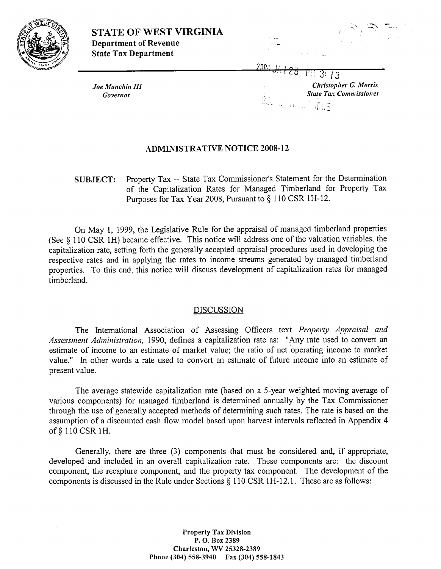



7T;rrq **1.** <sup>I</sup>.-. ., -

Joe Manchin III *Governor* 

-. \* **.a** / ,; 2: 13 *Christopher G. Morrk*  **State Tax Commissioner** u∐aj≆

# **ADMINISTRATIVE NOTICE 2008-12**

**SUBJECT:** Property Tax -- State Tax Commissioner's Statement for the Determination of the Capitalization Rates for Managed Timberland for Property Tax Purposes for Tax Year 2005, Pursuant to § 110 CSR 1H-12.

On May 1, 1999, the Legislative Rule for the appraisal of managed timberland properties (See 5 110 CSR 1H) became effective. This notice will address one of the valuation variables, the capitalization rate, setting forth the generally accepted appraisal procedures used in developing the respective rates and in applying the rates to income streams generated by managed timberland properties. To this end, this notice will discuss development of capitalization rates for managed timberland.

# DISCUSSION

The International Association of Assessing Officers text *Property Appraisal and* Assessment Administration, 1990, defines a capitalization rate as: "Any rate used to convert an estimate of income to an estimate of market value; the ratio of net 'operating income to market value." In other words a rate used to convert an estimate of future income into an estimate of present value.

The average statewide capitalization rate (based on a 5-year weighted moving average of various comnponents) for managed timberland is determined annually by the Tax Conmissioner through the use of generally accepted methods of determining such rates. The rate is based on the assumption of a discounted cash flow model based upon harvest intervals reflected in Appendix 4 of § 110 CSR 1H.

Generally, there are three **(3)** components that must be considered and, if appropriate, developed and included in an overall capitalization rate. These components are: the discount component, the recapture component, and the property tax component. The development of the components is discussed in the Rule under Sections  $\S$  110 CSR 1H-12.1. These are as follows:

> **Property Tax Division P. 0. Box 2389 Charleston, WV 25328-2389 Phone (304) 558-3940 Fax (304) 558-1843**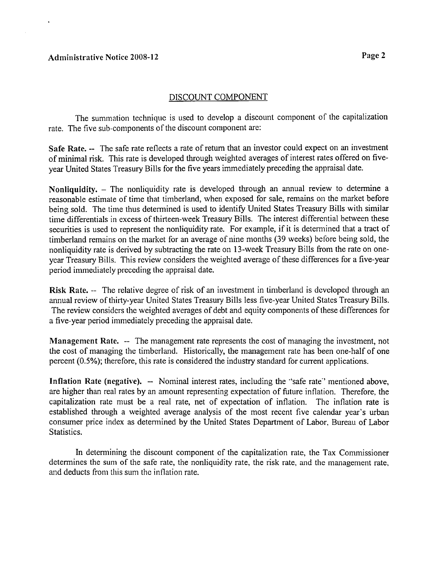## DISCOUNT COMPONENT

The summation technique is used to develop a discount component of the capitalization rate. The five sub-components of the discount component are:

Safe Rate. -- The safe rate reflects a rate of return that an investor could expect on an investment of minimal risk. This rate is developed through weighted averages of interest rates offered on fiveyear United States Treasury Bills for the five years immediately preceding the appraisal date.

Nonliquidity. - The nonliquidity rate is developed through an annual review to determine a reasonable estimate of time that timberland, when exposed for sale, remains on the market before being sold. The time thus determined is used to identify United States Treasury Bills with similar time differentials in excess of thirteen-week Treasury Bills. The interest differential between these securities is used to represent the nonliquidity rate. For example, if it is determined that a tract of timberland remains on the market for an average of nine months (39 weeks) before being sold, the nonliquidity rate is derived by subtracting the rate on 13-week Treasury Bills from the rate on oneyear Treasury Bills. This review considers the weighted average of these differences for a five-year period immediately preceding the appraisal date.

**Risk Rate.** -- The relative degree of risk of an investment in timberland is developed through an annual review of thirty-year United States Treasury Bills less five-year United States Treasury Bills. The review considers the weighted averages of debt and equity components of these differences for a five-year period immediately preceding the appraisal date.

Management Rate. -- The management rate represents the cost of managing the investment, not the cost of managing the timberland. Historically, the management rate has been one-half of one percent (0.5%); therefore, this rate is considered the industry standard for current applications.

Inflation Rate (negative).  $-$  Nominal interest rates, including the "safe rate" mentioned above, are higher than real rates by an amount representing expectation of fiture inflation. Therefore, the capitalization rate must be a real rate, net of expectation of inflation. The inflation rate is established through a weighted average analysis of the most recent five calendar year's urban consumer price index as determined by the United States Department of Labor. Bureau of Labor Statistics.

In determining the discount component of the capitalization rate, the Tax Commissioner determines the sum of the safe rate, the nonliquidity rate, the risk rate, and the management rate, and deducts from this sum the inflation rate.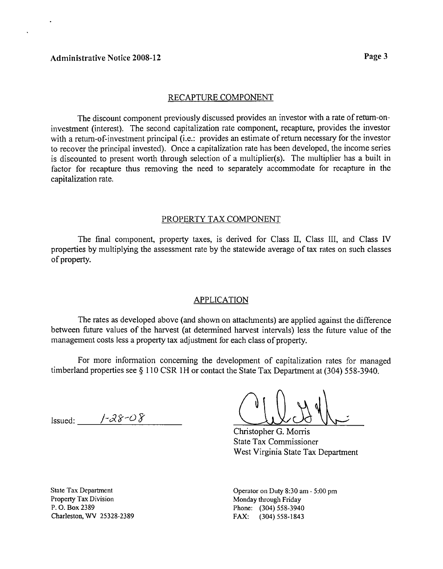#### RECAPTURE COMPONENT

The discount component previously discussed provides an investor with a rate of retum-oninvestment (interest). The second capitalization rate component, recapture, provides the investor with a return-of-investment principal (i.e.: provides an estimate of return necessary for the investor to recover the principal invested). Once a capitalization rate has been developed, the income series is discounted to present worth through selection of a multiplier(s). The multiplier has a built in factor for recapture thus removing the need to separately accommodate for recapture in the capitalization rate.

### PROPERTY TAX COMPONENT

The final component, property taxes, is derived for Class II, Class III, and Class IV properties by multiplying the assessment rate by the statewide average of tax rates on such classes of property.

#### APPLICATION

The rates as developed above (and shown on attachments) are applied against the difference between future values of the harvest (at determined harvest intervals) less the future value of the management costs less a property tax adjustment for each class of property.

For more information concerning the development of capitalization rates for managed timberland properties see § 110 CSR 1H or contact the State Tax Department at (304) 558-3940.

Issued: */-2%-0* 3

Christopher G. Morris

State Tax Commissioner West Virginia State Tax Department

State Tax Department Property **Tax** Division P. 0. Box 2389 Charleston, WV 25328-2389

Operator on Duty 8:30 am - **5:00** pm Monday through Friday Phone: (304) 558-3940 FAX: (304)558-1843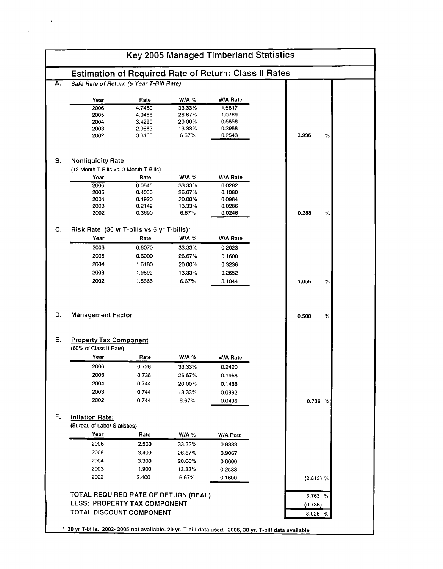| <b>W/A %</b><br>W/A Rate<br>Year<br>Rate<br>2006<br>4.7450<br>33.33%<br>1.5817<br>2005<br>4.0458<br>26.67%<br>1.0789<br>2004<br>3.4290<br>20.00%<br>0.6858<br>0.3958<br>2003<br>2.9683<br>13.33%<br>6.67%<br>3.996<br>2002<br>3.8150<br>0.2543<br>%<br><b>Nonliquidity Rate</b><br>(12 Month T-Bills vs. 3 Month T-Bills)<br>Rate<br>W/A $%$<br>W/A Rate<br>Year<br>0.0845<br>33.33%<br>2006<br>0.0282<br>2005<br>26.67%<br>0.4050<br>0.1080<br>2004<br>0.4920<br>20.00%<br>0.0984<br>2003<br>0.2142<br>13.33%<br>0.0286<br>2002<br>0.3690<br>6.67%<br>0.0246<br>0.288<br>℅<br>Risk Rate (30 yr T-bills vs 5 yr T-bills)*<br>Year<br>Rate<br>W/A $%$<br>W/A Rate<br>2006<br>33.33%<br>0.6070<br>0.2023<br>2005<br>0.6000<br>26.67%<br>0.1600<br>2004<br>1.6180<br>20.00%<br>0.3236<br>2003<br>1.9892<br>13.33%<br>0.2652<br>2002<br>1.5666<br>6.67%<br>0.1044<br>1.056<br>%<br><b>Management Factor</b><br>0.500<br>%<br><b>Property Tax Component</b><br>(60% of Class II Rate)<br>Year<br>Rate<br><b>W/A %</b><br>W/A Rate<br>2006<br>0.726<br>33.33%<br>0.2420<br>2005<br>0.738<br>26.67%<br>0.1968<br>2004<br>0.744<br>20.00%<br>0.1488<br>2003<br>0.744<br>13.33%<br>0.0992<br>2002<br>0.744<br>6.67%<br>0.0496<br>0.736%<br>(Bureau of Labor Statistics)<br>Year<br>Rate<br><b>W/A</b> %<br>W/A Rate<br>2006<br>2.500<br>33.33%<br>0.8333<br>2005<br>3.400<br>26.67%<br>0.9067<br>2004<br>3.300<br>20.00%<br>0.6600<br>2003<br>1.900<br>13.33%<br>0.2533<br>2002<br>2.400<br>6.67%<br>0.1600<br>(2.813) %<br>TOTAL REQUIRED RATE OF RETURN (REAL)<br>3.763 %<br>LESS: PROPERTY TAX COMPONENT<br>(0.736) |                        | Safe Rate of Return (5 Year T-Bill Rate) |  |  |
|---------------------------------------------------------------------------------------------------------------------------------------------------------------------------------------------------------------------------------------------------------------------------------------------------------------------------------------------------------------------------------------------------------------------------------------------------------------------------------------------------------------------------------------------------------------------------------------------------------------------------------------------------------------------------------------------------------------------------------------------------------------------------------------------------------------------------------------------------------------------------------------------------------------------------------------------------------------------------------------------------------------------------------------------------------------------------------------------------------------------------------------------------------------------------------------------------------------------------------------------------------------------------------------------------------------------------------------------------------------------------------------------------------------------------------------------------------------------------------------------------------------------------------------------------------------------------------------------------------------|------------------------|------------------------------------------|--|--|
|                                                                                                                                                                                                                                                                                                                                                                                                                                                                                                                                                                                                                                                                                                                                                                                                                                                                                                                                                                                                                                                                                                                                                                                                                                                                                                                                                                                                                                                                                                                                                                                                               |                        |                                          |  |  |
|                                                                                                                                                                                                                                                                                                                                                                                                                                                                                                                                                                                                                                                                                                                                                                                                                                                                                                                                                                                                                                                                                                                                                                                                                                                                                                                                                                                                                                                                                                                                                                                                               |                        |                                          |  |  |
|                                                                                                                                                                                                                                                                                                                                                                                                                                                                                                                                                                                                                                                                                                                                                                                                                                                                                                                                                                                                                                                                                                                                                                                                                                                                                                                                                                                                                                                                                                                                                                                                               |                        |                                          |  |  |
|                                                                                                                                                                                                                                                                                                                                                                                                                                                                                                                                                                                                                                                                                                                                                                                                                                                                                                                                                                                                                                                                                                                                                                                                                                                                                                                                                                                                                                                                                                                                                                                                               |                        |                                          |  |  |
|                                                                                                                                                                                                                                                                                                                                                                                                                                                                                                                                                                                                                                                                                                                                                                                                                                                                                                                                                                                                                                                                                                                                                                                                                                                                                                                                                                                                                                                                                                                                                                                                               |                        |                                          |  |  |
|                                                                                                                                                                                                                                                                                                                                                                                                                                                                                                                                                                                                                                                                                                                                                                                                                                                                                                                                                                                                                                                                                                                                                                                                                                                                                                                                                                                                                                                                                                                                                                                                               |                        |                                          |  |  |
|                                                                                                                                                                                                                                                                                                                                                                                                                                                                                                                                                                                                                                                                                                                                                                                                                                                                                                                                                                                                                                                                                                                                                                                                                                                                                                                                                                                                                                                                                                                                                                                                               |                        |                                          |  |  |
|                                                                                                                                                                                                                                                                                                                                                                                                                                                                                                                                                                                                                                                                                                                                                                                                                                                                                                                                                                                                                                                                                                                                                                                                                                                                                                                                                                                                                                                                                                                                                                                                               |                        |                                          |  |  |
|                                                                                                                                                                                                                                                                                                                                                                                                                                                                                                                                                                                                                                                                                                                                                                                                                                                                                                                                                                                                                                                                                                                                                                                                                                                                                                                                                                                                                                                                                                                                                                                                               |                        |                                          |  |  |
|                                                                                                                                                                                                                                                                                                                                                                                                                                                                                                                                                                                                                                                                                                                                                                                                                                                                                                                                                                                                                                                                                                                                                                                                                                                                                                                                                                                                                                                                                                                                                                                                               |                        |                                          |  |  |
|                                                                                                                                                                                                                                                                                                                                                                                                                                                                                                                                                                                                                                                                                                                                                                                                                                                                                                                                                                                                                                                                                                                                                                                                                                                                                                                                                                                                                                                                                                                                                                                                               |                        |                                          |  |  |
|                                                                                                                                                                                                                                                                                                                                                                                                                                                                                                                                                                                                                                                                                                                                                                                                                                                                                                                                                                                                                                                                                                                                                                                                                                                                                                                                                                                                                                                                                                                                                                                                               |                        |                                          |  |  |
|                                                                                                                                                                                                                                                                                                                                                                                                                                                                                                                                                                                                                                                                                                                                                                                                                                                                                                                                                                                                                                                                                                                                                                                                                                                                                                                                                                                                                                                                                                                                                                                                               |                        |                                          |  |  |
|                                                                                                                                                                                                                                                                                                                                                                                                                                                                                                                                                                                                                                                                                                                                                                                                                                                                                                                                                                                                                                                                                                                                                                                                                                                                                                                                                                                                                                                                                                                                                                                                               |                        |                                          |  |  |
|                                                                                                                                                                                                                                                                                                                                                                                                                                                                                                                                                                                                                                                                                                                                                                                                                                                                                                                                                                                                                                                                                                                                                                                                                                                                                                                                                                                                                                                                                                                                                                                                               |                        |                                          |  |  |
|                                                                                                                                                                                                                                                                                                                                                                                                                                                                                                                                                                                                                                                                                                                                                                                                                                                                                                                                                                                                                                                                                                                                                                                                                                                                                                                                                                                                                                                                                                                                                                                                               |                        |                                          |  |  |
|                                                                                                                                                                                                                                                                                                                                                                                                                                                                                                                                                                                                                                                                                                                                                                                                                                                                                                                                                                                                                                                                                                                                                                                                                                                                                                                                                                                                                                                                                                                                                                                                               |                        |                                          |  |  |
|                                                                                                                                                                                                                                                                                                                                                                                                                                                                                                                                                                                                                                                                                                                                                                                                                                                                                                                                                                                                                                                                                                                                                                                                                                                                                                                                                                                                                                                                                                                                                                                                               |                        |                                          |  |  |
|                                                                                                                                                                                                                                                                                                                                                                                                                                                                                                                                                                                                                                                                                                                                                                                                                                                                                                                                                                                                                                                                                                                                                                                                                                                                                                                                                                                                                                                                                                                                                                                                               |                        |                                          |  |  |
|                                                                                                                                                                                                                                                                                                                                                                                                                                                                                                                                                                                                                                                                                                                                                                                                                                                                                                                                                                                                                                                                                                                                                                                                                                                                                                                                                                                                                                                                                                                                                                                                               |                        |                                          |  |  |
|                                                                                                                                                                                                                                                                                                                                                                                                                                                                                                                                                                                                                                                                                                                                                                                                                                                                                                                                                                                                                                                                                                                                                                                                                                                                                                                                                                                                                                                                                                                                                                                                               |                        |                                          |  |  |
|                                                                                                                                                                                                                                                                                                                                                                                                                                                                                                                                                                                                                                                                                                                                                                                                                                                                                                                                                                                                                                                                                                                                                                                                                                                                                                                                                                                                                                                                                                                                                                                                               |                        |                                          |  |  |
|                                                                                                                                                                                                                                                                                                                                                                                                                                                                                                                                                                                                                                                                                                                                                                                                                                                                                                                                                                                                                                                                                                                                                                                                                                                                                                                                                                                                                                                                                                                                                                                                               |                        |                                          |  |  |
|                                                                                                                                                                                                                                                                                                                                                                                                                                                                                                                                                                                                                                                                                                                                                                                                                                                                                                                                                                                                                                                                                                                                                                                                                                                                                                                                                                                                                                                                                                                                                                                                               |                        |                                          |  |  |
|                                                                                                                                                                                                                                                                                                                                                                                                                                                                                                                                                                                                                                                                                                                                                                                                                                                                                                                                                                                                                                                                                                                                                                                                                                                                                                                                                                                                                                                                                                                                                                                                               |                        |                                          |  |  |
|                                                                                                                                                                                                                                                                                                                                                                                                                                                                                                                                                                                                                                                                                                                                                                                                                                                                                                                                                                                                                                                                                                                                                                                                                                                                                                                                                                                                                                                                                                                                                                                                               |                        |                                          |  |  |
|                                                                                                                                                                                                                                                                                                                                                                                                                                                                                                                                                                                                                                                                                                                                                                                                                                                                                                                                                                                                                                                                                                                                                                                                                                                                                                                                                                                                                                                                                                                                                                                                               |                        |                                          |  |  |
|                                                                                                                                                                                                                                                                                                                                                                                                                                                                                                                                                                                                                                                                                                                                                                                                                                                                                                                                                                                                                                                                                                                                                                                                                                                                                                                                                                                                                                                                                                                                                                                                               |                        |                                          |  |  |
|                                                                                                                                                                                                                                                                                                                                                                                                                                                                                                                                                                                                                                                                                                                                                                                                                                                                                                                                                                                                                                                                                                                                                                                                                                                                                                                                                                                                                                                                                                                                                                                                               |                        |                                          |  |  |
|                                                                                                                                                                                                                                                                                                                                                                                                                                                                                                                                                                                                                                                                                                                                                                                                                                                                                                                                                                                                                                                                                                                                                                                                                                                                                                                                                                                                                                                                                                                                                                                                               |                        |                                          |  |  |
|                                                                                                                                                                                                                                                                                                                                                                                                                                                                                                                                                                                                                                                                                                                                                                                                                                                                                                                                                                                                                                                                                                                                                                                                                                                                                                                                                                                                                                                                                                                                                                                                               |                        |                                          |  |  |
|                                                                                                                                                                                                                                                                                                                                                                                                                                                                                                                                                                                                                                                                                                                                                                                                                                                                                                                                                                                                                                                                                                                                                                                                                                                                                                                                                                                                                                                                                                                                                                                                               |                        |                                          |  |  |
|                                                                                                                                                                                                                                                                                                                                                                                                                                                                                                                                                                                                                                                                                                                                                                                                                                                                                                                                                                                                                                                                                                                                                                                                                                                                                                                                                                                                                                                                                                                                                                                                               | <b>Inflation Rate:</b> |                                          |  |  |
|                                                                                                                                                                                                                                                                                                                                                                                                                                                                                                                                                                                                                                                                                                                                                                                                                                                                                                                                                                                                                                                                                                                                                                                                                                                                                                                                                                                                                                                                                                                                                                                                               |                        |                                          |  |  |
|                                                                                                                                                                                                                                                                                                                                                                                                                                                                                                                                                                                                                                                                                                                                                                                                                                                                                                                                                                                                                                                                                                                                                                                                                                                                                                                                                                                                                                                                                                                                                                                                               |                        |                                          |  |  |
|                                                                                                                                                                                                                                                                                                                                                                                                                                                                                                                                                                                                                                                                                                                                                                                                                                                                                                                                                                                                                                                                                                                                                                                                                                                                                                                                                                                                                                                                                                                                                                                                               |                        |                                          |  |  |
|                                                                                                                                                                                                                                                                                                                                                                                                                                                                                                                                                                                                                                                                                                                                                                                                                                                                                                                                                                                                                                                                                                                                                                                                                                                                                                                                                                                                                                                                                                                                                                                                               |                        |                                          |  |  |
|                                                                                                                                                                                                                                                                                                                                                                                                                                                                                                                                                                                                                                                                                                                                                                                                                                                                                                                                                                                                                                                                                                                                                                                                                                                                                                                                                                                                                                                                                                                                                                                                               |                        |                                          |  |  |
|                                                                                                                                                                                                                                                                                                                                                                                                                                                                                                                                                                                                                                                                                                                                                                                                                                                                                                                                                                                                                                                                                                                                                                                                                                                                                                                                                                                                                                                                                                                                                                                                               |                        |                                          |  |  |
|                                                                                                                                                                                                                                                                                                                                                                                                                                                                                                                                                                                                                                                                                                                                                                                                                                                                                                                                                                                                                                                                                                                                                                                                                                                                                                                                                                                                                                                                                                                                                                                                               |                        |                                          |  |  |
|                                                                                                                                                                                                                                                                                                                                                                                                                                                                                                                                                                                                                                                                                                                                                                                                                                                                                                                                                                                                                                                                                                                                                                                                                                                                                                                                                                                                                                                                                                                                                                                                               |                        |                                          |  |  |
|                                                                                                                                                                                                                                                                                                                                                                                                                                                                                                                                                                                                                                                                                                                                                                                                                                                                                                                                                                                                                                                                                                                                                                                                                                                                                                                                                                                                                                                                                                                                                                                                               |                        |                                          |  |  |

 $\ddot{\phantom{0}}$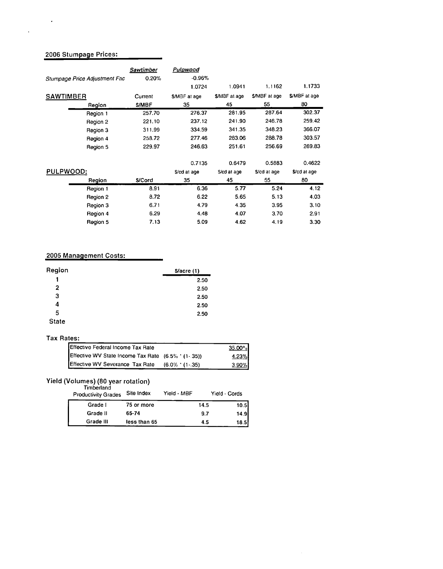# **2006 Stumpage Prices:**

 $\sim$ 

 $\mathcal{L}$ 

| Stumpage Price Adjustment Fac | Sawtimber<br>0.20% | Pulpwood<br>$-0.96%$ |               |              |              |
|-------------------------------|--------------------|----------------------|---------------|--------------|--------------|
|                               |                    | 1.0724               | 1.0941        | 1.1162       | 1.1733       |
| <b>SAWTIMBER</b>              | Current            | \$/MBF at age        | \$/MBF at age | S/MBF at age | S/MBF at age |
| Region                        | <b>S/MBF</b>       | 35                   | 45            | 55           | 80           |
| Region 1                      | 257.70             | 276.37               | 281.95        | 287.64       | 302.37       |
| Region 2                      | 221.10             | 237.12               | 241.90        | 246.78       | 259.42       |
| Region 3                      | 311.99             | 334.59               | 341.35        | 348.23       | 366.07       |
| Region 4                      | 258.72             | 277.46               | 283.06        | 288.78       | 303.57       |
| Region 5                      | 229.97             | 246.63               | 251.61        | 256.69       | 269.83       |
|                               |                    | 0.7135               | 0.6479        | 0.5883       | 0.4622       |
| PULPWOOD:                     |                    | S/cd at age          | S/cd at age   | S/cd at age  | \$/cd at age |
| Region                        | <b>S/Cord</b>      | 35                   | 45            | 55           | 80           |
| Region 1                      | 8.91               | 6.36                 | 5.77          | 5.24         | 4.12         |
| Region 2                      | 8.72               | 6.22                 | 5.65          | 5.13         | 4.03         |
| Region 3                      | 6.71               | 4.79                 | 4.35          | 3.95         | 3.10         |
| Region 4                      | 6.29               | 4.48                 | 4.07          | 3.70         | 2.91         |
| Region 5                      | 7.13               | 5.09                 | 4.62          | 4.19         | 3.30         |

## **2005 Management Costs:**

| Region         | S/acre(1) |
|----------------|-----------|
| 1              | 2.50      |
| $\overline{2}$ | 2.50      |
| з              | 2.50      |
| 4              | 2.50      |
| 5              | 2.50      |
| <b>State</b>   |           |

#### **Tax Rates:**

| Effective Federal Income Tax Rate                   |                    | $35.00\%$ |
|-----------------------------------------------------|--------------------|-----------|
| Effective WV State Income Tax Rate (6.5% ' (1-.35)) |                    | 4.23%     |
| Effective WV Severance Tax Rate                     | $(6.0\%$ $(1-.35)$ | 3.90%     |

#### **Yield (Volumes) (80 year rotation)**

| Timberland<br><b>Productivity Grades</b> | Site Index   | Yield - MBF |      | Yield - Cords |
|------------------------------------------|--------------|-------------|------|---------------|
| Grade I                                  | 75 or more   |             | 14.5 | 10.5          |
| Grade II                                 | 65-74        |             | 9.7  | 14.9          |
| Grade III                                | less than 65 |             | 4.5  | 18.5          |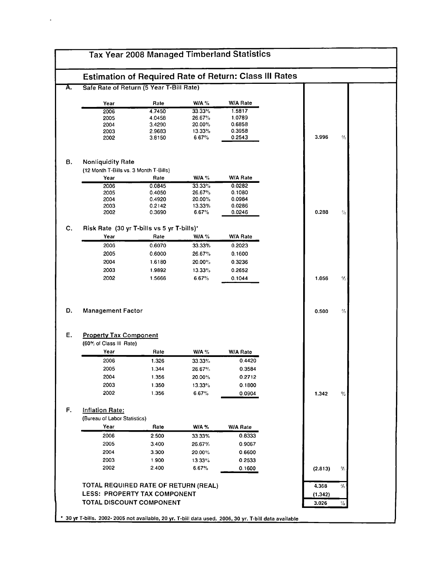|                               | <b>Estimation of Required Rate of Return: Class III Rates</b> |                  |                  |  |                                            |  |
|-------------------------------|---------------------------------------------------------------|------------------|------------------|--|--------------------------------------------|--|
|                               | Safe Rate of Return (5 Year T-Bill Rate)                      |                  |                  |  |                                            |  |
| Year                          | Rate                                                          | W/A $%$          | W/A Rate         |  |                                            |  |
| 2006                          | 4.7450                                                        | 33.33%           | 1.5817           |  |                                            |  |
| 2005                          | 4.0458                                                        | 26.67%           | 1.0789           |  |                                            |  |
| 2004                          | 3.4290                                                        | 20.00%           | 0.6858           |  |                                            |  |
| 2003                          | 2.9683                                                        | 13.33%           | 0.3958           |  |                                            |  |
| 2002                          | 3.8150                                                        | 6.67%            | 0.2543           |  | 3.996<br>%                                 |  |
| <b>Nonliquidity Rate</b>      |                                                               |                  |                  |  |                                            |  |
|                               | (12 Month T-Bills vs. 3 Month T-Bills)                        |                  |                  |  |                                            |  |
| Year                          | Rate                                                          | <b>W/A %</b>     | W/A Rate         |  |                                            |  |
| 2006<br>2005                  | 0.0845<br>0.4050                                              | 33.33%<br>26.67% | 0.0282<br>0.1080 |  |                                            |  |
| 2004                          | 0.4920                                                        | 20.00%           | 0.0984           |  |                                            |  |
| 2003                          | 0.2142                                                        | 13.33%           | 0.0286           |  |                                            |  |
| 2002                          | 0.3690                                                        | 6.67%            | 0.0246           |  | 0.288<br>℀                                 |  |
|                               | Risk Rate (30 yr T-bills vs 5 yr T-bills)'                    |                  |                  |  |                                            |  |
| Year                          | Rate                                                          | <b>W/A %</b>     | W/A Rate         |  |                                            |  |
| 2006                          | 0.6070                                                        | 33.33%           | 0.2023           |  |                                            |  |
| 2005                          | 0.6000                                                        | 26.67%           | 0.1600           |  |                                            |  |
| 2004                          | 1.6180                                                        | 20.00%           | 0.3236           |  |                                            |  |
| 2003                          | 1.9892                                                        | 13.33%           | 0.2652           |  |                                            |  |
| 2002                          | 1.5666                                                        | 6.67%            | 0.1044           |  | 1.056<br>$\gamma_{\scriptscriptstyle 1}$ i |  |
|                               |                                                               |                  |                  |  |                                            |  |
| <b>Management Factor</b>      |                                                               |                  |                  |  | 0.500<br>%                                 |  |
|                               |                                                               |                  |                  |  |                                            |  |
| <b>Property Tax Component</b> |                                                               |                  |                  |  |                                            |  |
| (60% of Class III Rate)       |                                                               |                  |                  |  |                                            |  |
| Year                          | Rate                                                          | W/A $%$          | W/A Rate         |  |                                            |  |
| 2006                          | 1.326                                                         | 33.33%           | 0.4420           |  |                                            |  |
| 2005                          | 1.344                                                         | 26.67%           | 0.3584           |  |                                            |  |
| 2004                          | 1.356                                                         | 20.00%           | 0.2712           |  |                                            |  |
| 2003                          | 1.350                                                         | 13.33%           | 0.1800           |  |                                            |  |
| 2002                          | 1.356                                                         | 6.67%            | 0.0904           |  | 1.342<br>%                                 |  |
| <b>Inflation Rate:</b>        |                                                               |                  |                  |  |                                            |  |
| (Bureau of Labor Statistics)  |                                                               |                  |                  |  |                                            |  |
| Year                          | Rate                                                          | <b>W/A %</b>     | W/A Rate         |  |                                            |  |
| 2006                          | 2.500                                                         | 33.33%           | 0.8333           |  |                                            |  |
| 2005                          | 3.400                                                         | 26.67%           | 0.9067           |  |                                            |  |
| 2004                          | 3.300                                                         | 20.00%           | 0.6600           |  |                                            |  |
| 2003                          | 1.900                                                         |                  |                  |  |                                            |  |
| 2002                          | 2.400                                                         | 13.33%<br>6.67%  | 0.2533<br>0.1600 |  | (2.813)<br>℀                               |  |
|                               |                                                               |                  |                  |  |                                            |  |
|                               | TOTAL REQUIRED RATE OF RETURN (REAL)                          |                  |                  |  | ℁<br>4.368                                 |  |
|                               | LESS: PROPERTY TAX COMPONENT<br>TOTAL DISCOUNT COMPONENT      |                  |                  |  | (1.342)<br>3.026<br>%                      |  |

 $\omega_{\rm{eff}}$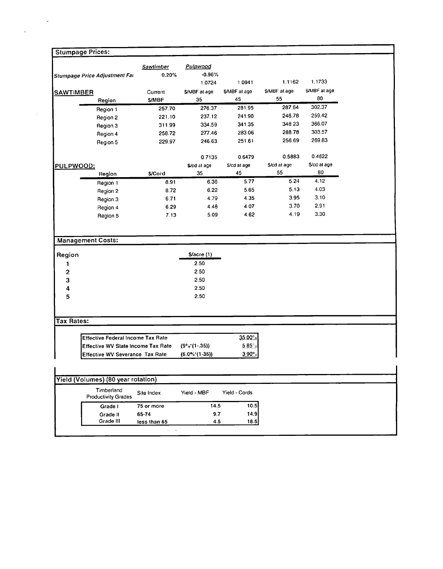|                                           | <b>Sawtimber</b> | Pulpwood         |               |              |              |  |
|-------------------------------------------|------------------|------------------|---------------|--------------|--------------|--|
| Stumpage Price Adjustment Fat             | 0.20%            | $-0.96%$         |               |              |              |  |
|                                           |                  | 1.0724           | 1.0941        | 1.1162       | 1.1733       |  |
| <b>SAWTIMBER</b>                          | Current          | S/MBF at age     | \$/MBF at age | S/MBF at age | S/MBF at age |  |
| Region                                    | S/MBF            | 35               | 45            | 55           | 80           |  |
| Region 1                                  | 257.70           | 276.37           | 281.95        | 287.64       | 302.37       |  |
| Region 2                                  | 221.10           | 237.12           | 241.90        | 246.78       | 259.42       |  |
| Region 3                                  | 311.99           | 334.59           | 341.35        | 348.23       | 366.07       |  |
| Region 4                                  | 258.72           | 277.46           | 283.06        | 288.78       | 303.57       |  |
| Region 5                                  | 229.97           | 246.63           | 251.61        | 256.69       | 269.83       |  |
|                                           |                  | 0.7135           | 0.6479        | 0.5883       | 0.4622       |  |
| PULPWOOD:                                 |                  | \$/cd at age     | S/cd at age   | \$/cd at age | \$/cd at age |  |
| Region                                    | \$/Cord          | 35               | 45            | 55           | 80           |  |
| Region 1                                  | 8.91             | 6.36             | 5.77          | 5.24         | 4.12         |  |
| Region 2                                  | 8.72             | 6.22             | 5.65          | 5.13         | 4.03         |  |
| Region 3                                  | 6.71             | 4.79             | 4.35          | 3.95         | 3.10         |  |
| Region 4                                  | 6.29             | 4.48             | 4.07          | 3.70         | 2.91         |  |
| Region 5                                  | 7.13             | 5.09             | 4.62          | 4.19         | 3.30         |  |
| <b>Management Costs:</b>                  |                  |                  |               |              |              |  |
| Region                                    |                  | S/acre(1)        |               |              |              |  |
| 1                                         |                  | 2.50             |               |              |              |  |
| $\mathbf 2$                               |                  | 2.50             |               |              |              |  |
| 3                                         |                  | 2.50             |               |              |              |  |
| 4                                         |                  | 2.50             |               |              |              |  |
| 5                                         |                  | 2.50             |               |              |              |  |
|                                           |                  |                  |               |              |              |  |
| <b>Tax Rates:</b>                         |                  |                  |               |              |              |  |
| <b>Effective Federal Income Tax Rate</b>  |                  |                  | 35 00°.       |              |              |  |
| <b>Effective WV State Income Tax Rate</b> |                  | $(9°s'(1-.35))$  | $585^\circ$   |              |              |  |
| Effective WV Severance Tax Rate           |                  | $(6.0\%*(1.35))$ | 3.90°         |              |              |  |
|                                           |                  |                  |               |              |              |  |
| Yield (Volumes) (80 year rotation)        |                  |                  |               |              |              |  |
| Timberland<br><b>Productivity Grades</b>  | Site Index       | Yield - MBF      | Yield - Cords |              |              |  |
| Grade I                                   | 75 or more       | 14.5<br>9.7      | 10.5<br>14.9  |              |              |  |

 $\label{eq:2} \frac{1}{\sqrt{2}}\sum_{i=1}^n\frac{1}{\sqrt{2}}\sum_{j=1}^n\frac{1}{j!}\sum_{j=1}^n\frac{1}{j!}\sum_{j=1}^n\frac{1}{j!}\sum_{j=1}^n\frac{1}{j!}\sum_{j=1}^n\frac{1}{j!}\sum_{j=1}^n\frac{1}{j!}\sum_{j=1}^n\frac{1}{j!}\sum_{j=1}^n\frac{1}{j!}\sum_{j=1}^n\frac{1}{j!}\sum_{j=1}^n\frac{1}{j!}\sum_{j=1}^n\frac{1}{j!}\sum_{j=1}^$ 

l,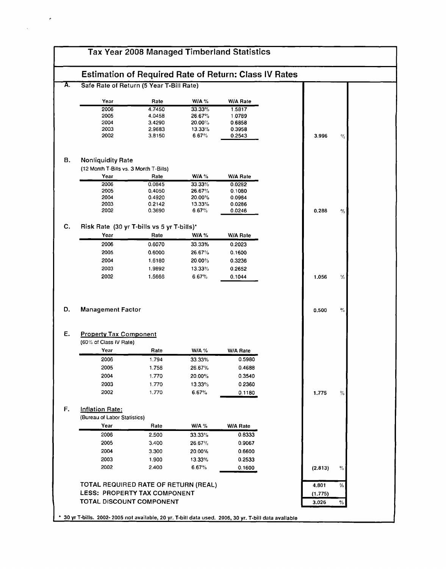| Safe Rate of Return (5 Year T-Bill Rate)<br>W/A %<br><b>W/A Rate</b><br>Year<br>Rate<br>2006<br>4.7450<br>33.33%<br>1.5817<br>2005<br>4.0458<br>26.67%<br>1.0789<br>2004<br>3.4290<br>20.00%<br>0.6858<br>2003<br>2.9683<br>13.33%<br>0.3958<br>2002<br>6.67%<br>3.8150<br>0.2543<br>3.996<br><b>Nonliquidity Rate</b><br>(12 Month T-Bills vs. 3 Month T-Bills)<br>Year<br>Rate<br>W/A %<br>W/A Rate<br>2006<br>33.33%<br>0.0845<br>0.0282<br>2005<br>0.4050<br>26.67%<br>0.1080<br>2004<br>0.4920<br>20.00%<br>0.0984<br>2003<br>0.2142<br>13.33%<br>0.0286<br>2002<br>0.3690<br>6.67%<br>0.0246<br>0.288<br>Risk Rate (30 yr T-bills vs 5 yr T-bills)*<br>Year<br>Rate<br>W/A %<br><b>W/A Rate</b><br>2006<br>0.6070<br>33.33%<br>0.2023<br>2005<br>0.6000<br>26.67%<br>0.1600<br>2004<br>1.6180<br>20.00%<br>0.3236<br>2003<br>1.9892<br>13.33%<br>0.2652<br>2002<br>1.5666<br>6.67%<br>0.1044<br>1,056<br>Y5<br><b>Management Factor</b><br>0.500<br><b>Property Tax Component</b><br>(60% of Class IV Rate)<br>Year<br>Rate<br>W/A %<br>W/A Rate<br>0.5980<br>2006<br>1.794<br>33.33%<br>2005<br>1.758<br>26.67%<br>0.4688<br>2004<br>20.00%<br>0.3540<br>1.770<br>2003<br>0.2360<br>1.770<br>13.33%<br>2002<br>1.770<br>6.67%<br>0.1180<br>1.775<br>(Bureau of Labor Statistics)<br>Year<br>Rate<br>$W/A$ %<br><b>W/A Rate</b><br>2006<br>0.8333<br>2.500<br>33.33%<br>2005<br>3.400<br>0.9067<br>26.67%<br>2004<br>3.300<br>20.00%<br>0.6600<br>2003<br>1.900<br>13.33%<br>0.2533<br>2002<br>2.400<br>6.67%<br>0.1600<br>(2.813)<br>TOTAL REQUIRED RATE OF RETURN (REAL)<br>4.801<br><b>LESS: PROPERTY TAX COMPONENT</b><br>(1.775)<br>TOTAL DISCOUNT COMPONENT |                 | <b>Estimation of Required Rate of Return: Class IV Rates</b> |  |  |      |
|-------------------------------------------------------------------------------------------------------------------------------------------------------------------------------------------------------------------------------------------------------------------------------------------------------------------------------------------------------------------------------------------------------------------------------------------------------------------------------------------------------------------------------------------------------------------------------------------------------------------------------------------------------------------------------------------------------------------------------------------------------------------------------------------------------------------------------------------------------------------------------------------------------------------------------------------------------------------------------------------------------------------------------------------------------------------------------------------------------------------------------------------------------------------------------------------------------------------------------------------------------------------------------------------------------------------------------------------------------------------------------------------------------------------------------------------------------------------------------------------------------------------------------------------------------------------------------------------------------------------------------------------------------------------------|-----------------|--------------------------------------------------------------|--|--|------|
|                                                                                                                                                                                                                                                                                                                                                                                                                                                                                                                                                                                                                                                                                                                                                                                                                                                                                                                                                                                                                                                                                                                                                                                                                                                                                                                                                                                                                                                                                                                                                                                                                                                                         |                 |                                                              |  |  |      |
|                                                                                                                                                                                                                                                                                                                                                                                                                                                                                                                                                                                                                                                                                                                                                                                                                                                                                                                                                                                                                                                                                                                                                                                                                                                                                                                                                                                                                                                                                                                                                                                                                                                                         |                 |                                                              |  |  |      |
|                                                                                                                                                                                                                                                                                                                                                                                                                                                                                                                                                                                                                                                                                                                                                                                                                                                                                                                                                                                                                                                                                                                                                                                                                                                                                                                                                                                                                                                                                                                                                                                                                                                                         |                 |                                                              |  |  |      |
|                                                                                                                                                                                                                                                                                                                                                                                                                                                                                                                                                                                                                                                                                                                                                                                                                                                                                                                                                                                                                                                                                                                                                                                                                                                                                                                                                                                                                                                                                                                                                                                                                                                                         |                 |                                                              |  |  |      |
|                                                                                                                                                                                                                                                                                                                                                                                                                                                                                                                                                                                                                                                                                                                                                                                                                                                                                                                                                                                                                                                                                                                                                                                                                                                                                                                                                                                                                                                                                                                                                                                                                                                                         |                 |                                                              |  |  |      |
|                                                                                                                                                                                                                                                                                                                                                                                                                                                                                                                                                                                                                                                                                                                                                                                                                                                                                                                                                                                                                                                                                                                                                                                                                                                                                                                                                                                                                                                                                                                                                                                                                                                                         |                 |                                                              |  |  |      |
|                                                                                                                                                                                                                                                                                                                                                                                                                                                                                                                                                                                                                                                                                                                                                                                                                                                                                                                                                                                                                                                                                                                                                                                                                                                                                                                                                                                                                                                                                                                                                                                                                                                                         |                 |                                                              |  |  | %    |
|                                                                                                                                                                                                                                                                                                                                                                                                                                                                                                                                                                                                                                                                                                                                                                                                                                                                                                                                                                                                                                                                                                                                                                                                                                                                                                                                                                                                                                                                                                                                                                                                                                                                         |                 |                                                              |  |  |      |
|                                                                                                                                                                                                                                                                                                                                                                                                                                                                                                                                                                                                                                                                                                                                                                                                                                                                                                                                                                                                                                                                                                                                                                                                                                                                                                                                                                                                                                                                                                                                                                                                                                                                         |                 |                                                              |  |  |      |
|                                                                                                                                                                                                                                                                                                                                                                                                                                                                                                                                                                                                                                                                                                                                                                                                                                                                                                                                                                                                                                                                                                                                                                                                                                                                                                                                                                                                                                                                                                                                                                                                                                                                         |                 |                                                              |  |  |      |
|                                                                                                                                                                                                                                                                                                                                                                                                                                                                                                                                                                                                                                                                                                                                                                                                                                                                                                                                                                                                                                                                                                                                                                                                                                                                                                                                                                                                                                                                                                                                                                                                                                                                         |                 |                                                              |  |  |      |
|                                                                                                                                                                                                                                                                                                                                                                                                                                                                                                                                                                                                                                                                                                                                                                                                                                                                                                                                                                                                                                                                                                                                                                                                                                                                                                                                                                                                                                                                                                                                                                                                                                                                         |                 |                                                              |  |  |      |
|                                                                                                                                                                                                                                                                                                                                                                                                                                                                                                                                                                                                                                                                                                                                                                                                                                                                                                                                                                                                                                                                                                                                                                                                                                                                                                                                                                                                                                                                                                                                                                                                                                                                         |                 |                                                              |  |  |      |
|                                                                                                                                                                                                                                                                                                                                                                                                                                                                                                                                                                                                                                                                                                                                                                                                                                                                                                                                                                                                                                                                                                                                                                                                                                                                                                                                                                                                                                                                                                                                                                                                                                                                         |                 |                                                              |  |  | $\%$ |
|                                                                                                                                                                                                                                                                                                                                                                                                                                                                                                                                                                                                                                                                                                                                                                                                                                                                                                                                                                                                                                                                                                                                                                                                                                                                                                                                                                                                                                                                                                                                                                                                                                                                         |                 |                                                              |  |  |      |
|                                                                                                                                                                                                                                                                                                                                                                                                                                                                                                                                                                                                                                                                                                                                                                                                                                                                                                                                                                                                                                                                                                                                                                                                                                                                                                                                                                                                                                                                                                                                                                                                                                                                         |                 |                                                              |  |  |      |
|                                                                                                                                                                                                                                                                                                                                                                                                                                                                                                                                                                                                                                                                                                                                                                                                                                                                                                                                                                                                                                                                                                                                                                                                                                                                                                                                                                                                                                                                                                                                                                                                                                                                         |                 |                                                              |  |  |      |
|                                                                                                                                                                                                                                                                                                                                                                                                                                                                                                                                                                                                                                                                                                                                                                                                                                                                                                                                                                                                                                                                                                                                                                                                                                                                                                                                                                                                                                                                                                                                                                                                                                                                         |                 |                                                              |  |  |      |
|                                                                                                                                                                                                                                                                                                                                                                                                                                                                                                                                                                                                                                                                                                                                                                                                                                                                                                                                                                                                                                                                                                                                                                                                                                                                                                                                                                                                                                                                                                                                                                                                                                                                         |                 |                                                              |  |  |      |
|                                                                                                                                                                                                                                                                                                                                                                                                                                                                                                                                                                                                                                                                                                                                                                                                                                                                                                                                                                                                                                                                                                                                                                                                                                                                                                                                                                                                                                                                                                                                                                                                                                                                         |                 |                                                              |  |  |      |
|                                                                                                                                                                                                                                                                                                                                                                                                                                                                                                                                                                                                                                                                                                                                                                                                                                                                                                                                                                                                                                                                                                                                                                                                                                                                                                                                                                                                                                                                                                                                                                                                                                                                         |                 |                                                              |  |  |      |
|                                                                                                                                                                                                                                                                                                                                                                                                                                                                                                                                                                                                                                                                                                                                                                                                                                                                                                                                                                                                                                                                                                                                                                                                                                                                                                                                                                                                                                                                                                                                                                                                                                                                         |                 |                                                              |  |  |      |
|                                                                                                                                                                                                                                                                                                                                                                                                                                                                                                                                                                                                                                                                                                                                                                                                                                                                                                                                                                                                                                                                                                                                                                                                                                                                                                                                                                                                                                                                                                                                                                                                                                                                         |                 |                                                              |  |  | $\%$ |
|                                                                                                                                                                                                                                                                                                                                                                                                                                                                                                                                                                                                                                                                                                                                                                                                                                                                                                                                                                                                                                                                                                                                                                                                                                                                                                                                                                                                                                                                                                                                                                                                                                                                         |                 |                                                              |  |  |      |
|                                                                                                                                                                                                                                                                                                                                                                                                                                                                                                                                                                                                                                                                                                                                                                                                                                                                                                                                                                                                                                                                                                                                                                                                                                                                                                                                                                                                                                                                                                                                                                                                                                                                         |                 |                                                              |  |  |      |
|                                                                                                                                                                                                                                                                                                                                                                                                                                                                                                                                                                                                                                                                                                                                                                                                                                                                                                                                                                                                                                                                                                                                                                                                                                                                                                                                                                                                                                                                                                                                                                                                                                                                         |                 |                                                              |  |  |      |
|                                                                                                                                                                                                                                                                                                                                                                                                                                                                                                                                                                                                                                                                                                                                                                                                                                                                                                                                                                                                                                                                                                                                                                                                                                                                                                                                                                                                                                                                                                                                                                                                                                                                         |                 |                                                              |  |  |      |
|                                                                                                                                                                                                                                                                                                                                                                                                                                                                                                                                                                                                                                                                                                                                                                                                                                                                                                                                                                                                                                                                                                                                                                                                                                                                                                                                                                                                                                                                                                                                                                                                                                                                         |                 |                                                              |  |  |      |
|                                                                                                                                                                                                                                                                                                                                                                                                                                                                                                                                                                                                                                                                                                                                                                                                                                                                                                                                                                                                                                                                                                                                                                                                                                                                                                                                                                                                                                                                                                                                                                                                                                                                         |                 |                                                              |  |  |      |
|                                                                                                                                                                                                                                                                                                                                                                                                                                                                                                                                                                                                                                                                                                                                                                                                                                                                                                                                                                                                                                                                                                                                                                                                                                                                                                                                                                                                                                                                                                                                                                                                                                                                         |                 |                                                              |  |  |      |
|                                                                                                                                                                                                                                                                                                                                                                                                                                                                                                                                                                                                                                                                                                                                                                                                                                                                                                                                                                                                                                                                                                                                                                                                                                                                                                                                                                                                                                                                                                                                                                                                                                                                         |                 |                                                              |  |  |      |
|                                                                                                                                                                                                                                                                                                                                                                                                                                                                                                                                                                                                                                                                                                                                                                                                                                                                                                                                                                                                                                                                                                                                                                                                                                                                                                                                                                                                                                                                                                                                                                                                                                                                         |                 |                                                              |  |  | %    |
|                                                                                                                                                                                                                                                                                                                                                                                                                                                                                                                                                                                                                                                                                                                                                                                                                                                                                                                                                                                                                                                                                                                                                                                                                                                                                                                                                                                                                                                                                                                                                                                                                                                                         | Inflation Rate: |                                                              |  |  |      |
|                                                                                                                                                                                                                                                                                                                                                                                                                                                                                                                                                                                                                                                                                                                                                                                                                                                                                                                                                                                                                                                                                                                                                                                                                                                                                                                                                                                                                                                                                                                                                                                                                                                                         |                 |                                                              |  |  |      |
|                                                                                                                                                                                                                                                                                                                                                                                                                                                                                                                                                                                                                                                                                                                                                                                                                                                                                                                                                                                                                                                                                                                                                                                                                                                                                                                                                                                                                                                                                                                                                                                                                                                                         |                 |                                                              |  |  |      |
|                                                                                                                                                                                                                                                                                                                                                                                                                                                                                                                                                                                                                                                                                                                                                                                                                                                                                                                                                                                                                                                                                                                                                                                                                                                                                                                                                                                                                                                                                                                                                                                                                                                                         |                 |                                                              |  |  |      |
|                                                                                                                                                                                                                                                                                                                                                                                                                                                                                                                                                                                                                                                                                                                                                                                                                                                                                                                                                                                                                                                                                                                                                                                                                                                                                                                                                                                                                                                                                                                                                                                                                                                                         |                 |                                                              |  |  |      |
|                                                                                                                                                                                                                                                                                                                                                                                                                                                                                                                                                                                                                                                                                                                                                                                                                                                                                                                                                                                                                                                                                                                                                                                                                                                                                                                                                                                                                                                                                                                                                                                                                                                                         |                 |                                                              |  |  |      |
|                                                                                                                                                                                                                                                                                                                                                                                                                                                                                                                                                                                                                                                                                                                                                                                                                                                                                                                                                                                                                                                                                                                                                                                                                                                                                                                                                                                                                                                                                                                                                                                                                                                                         |                 |                                                              |  |  |      |
|                                                                                                                                                                                                                                                                                                                                                                                                                                                                                                                                                                                                                                                                                                                                                                                                                                                                                                                                                                                                                                                                                                                                                                                                                                                                                                                                                                                                                                                                                                                                                                                                                                                                         |                 |                                                              |  |  | %    |
|                                                                                                                                                                                                                                                                                                                                                                                                                                                                                                                                                                                                                                                                                                                                                                                                                                                                                                                                                                                                                                                                                                                                                                                                                                                                                                                                                                                                                                                                                                                                                                                                                                                                         |                 |                                                              |  |  |      |
| 3.026<br>$\%$                                                                                                                                                                                                                                                                                                                                                                                                                                                                                                                                                                                                                                                                                                                                                                                                                                                                                                                                                                                                                                                                                                                                                                                                                                                                                                                                                                                                                                                                                                                                                                                                                                                           |                 |                                                              |  |  | %    |

 $\cdot$ 

 $\hat{\mathbf{v}}$